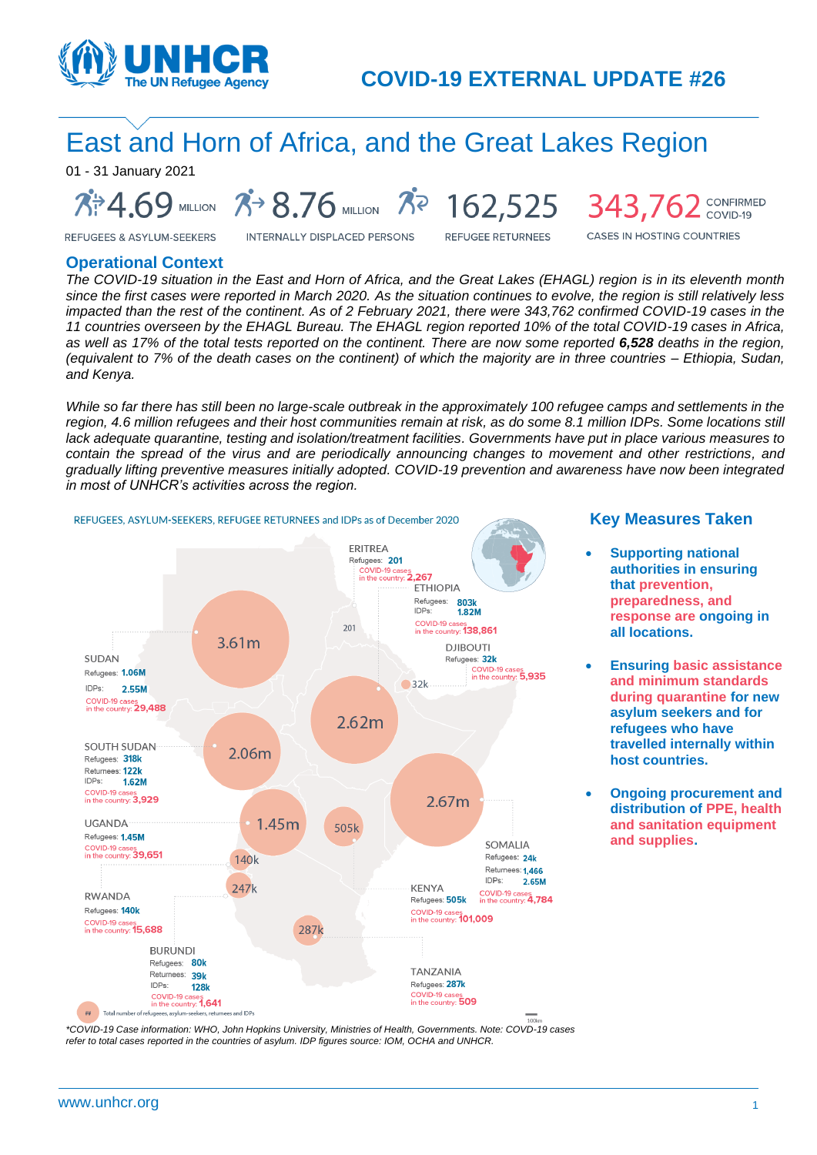

# East and Horn of Africa, and the Great Lakes Region

01 - 31 January 2021

**7: 4.69** MILLION 7 8.76 MILLION 7 162,525 343,762 CONFIRMED

**INTERNALLY DISPLACED PERSONS** 

**REFUGEE RETURNEES** 

**CASES IN HOSTING COUNTRIES** 

#### **Operational Context**

**REFUGEES & ASYLUM-SEEKERS** 

*The COVID-19 situation in the East and Horn of Africa, and the Great Lakes (EHAGL) region is in its eleventh month since the first cases were reported in March 2020. As the situation continues to evolve, the region is still relatively less impacted than the rest of the continent. As of 2 February 2021, there were 343,762 confirmed COVID-19 cases in the 11 countries overseen by the EHAGL Bureau. The EHAGL region reported 10% of the total COVID-19 cases in Africa, as well as 17% of the total tests reported on the continent. There are now some reported 6,528 deaths in the region, (equivalent to 7% of the death cases on the continent) of which the majority are in three countries – Ethiopia, Sudan, and Kenya.*

*While so far there has still been no large-scale outbreak in the approximately 100 refugee camps and settlements in the region, 4.6 million refugees and their host communities remain at risk, as do some 8.1 million IDPs. Some locations still lack adequate quarantine, testing and isolation/treatment facilities. Governments have put in place various measures to contain the spread of the virus and are periodically announcing changes to movement and other restrictions, and gradually lifting preventive measures initially adopted. COVID-19 prevention and awareness have now been integrated in most of UNHCR's activities across the region.*



#### **Key Measures Taken**

- **Supporting national authorities in ensuring that prevention, preparedness, and response are ongoing in all locations.**
- **Ensuring basic assistance and minimum standards during quarantine for new asylum seekers and for refugees who have travelled internally within host countries.**
- **Ongoing procurement and distribution of PPE, health and sanitation equipment and supplies.**

*\*COVID-19 Case information: WHO, John Hopkins University, Ministries of Health, Governments. Note: COVD-19 cases refer to total cases reported in the countries of asylum. IDP figures source: IOM, OCHA and UNHCR.*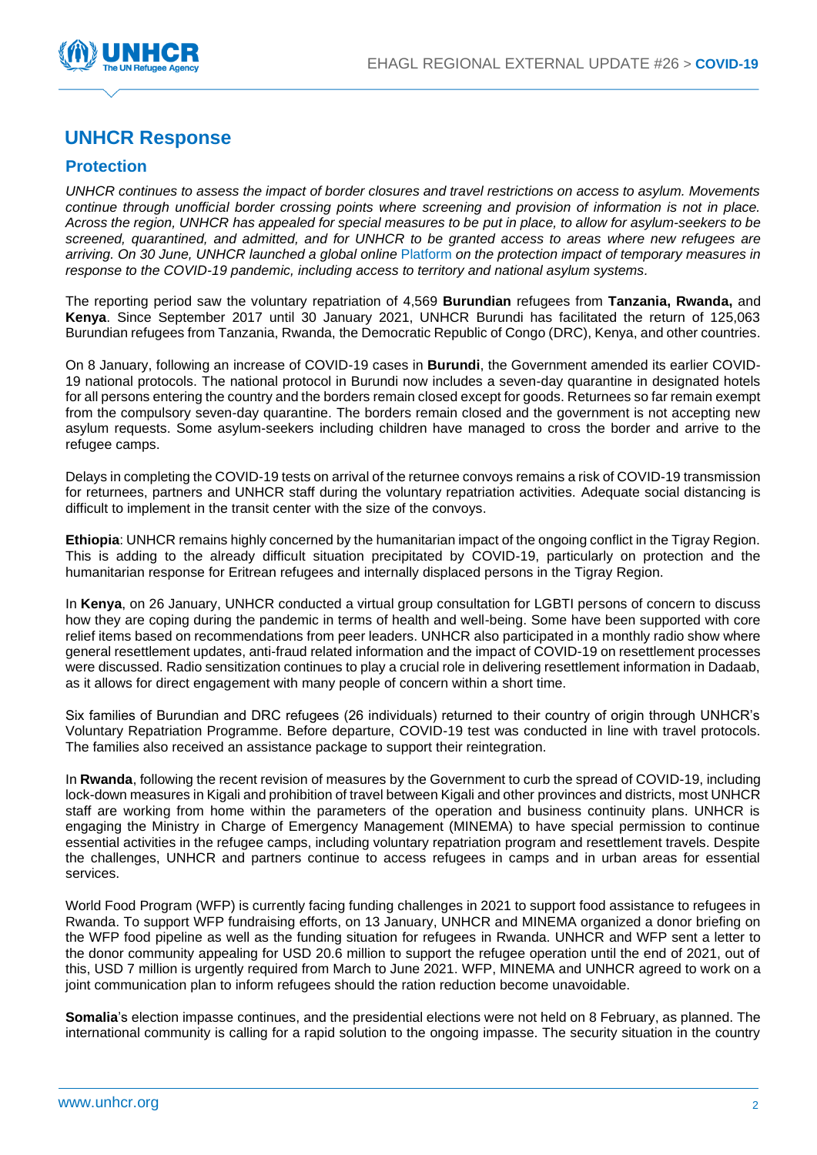

## **UNHCR Response**

## **Protection**

*UNHCR continues to assess the impact of border closures and travel restrictions on access to asylum. Movements continue through unofficial border crossing points where screening and provision of information is not in place. Across the region, UNHCR has appealed for special measures to be put in place, to allow for asylum-seekers to be screened, quarantined, and admitted, and for UNHCR to be granted access to areas where new refugees are arriving. On 30 June, UNHCR launched a global online* [Platform](https://im.unhcr.org/covid19_platform/) *on the protection impact of temporary measures in response to the COVID-19 pandemic, including access to territory and national asylum systems.*

The reporting period saw the voluntary repatriation of 4,569 **Burundian** refugees from **Tanzania, Rwanda,** and **Kenya**. Since September 2017 until 30 January 2021, UNHCR Burundi has facilitated the return of 125,063 Burundian refugees from Tanzania, Rwanda, the Democratic Republic of Congo (DRC), Kenya, and other countries.

On 8 January, following an increase of COVID-19 cases in **Burundi**, the Government amended its earlier COVID-19 national protocols. The national protocol in Burundi now includes a seven-day quarantine in designated hotels for all persons entering the country and the borders remain closed except for goods. Returnees so far remain exempt from the compulsory seven-day quarantine. The borders remain closed and the government is not accepting new asylum requests. Some asylum-seekers including children have managed to cross the border and arrive to the refugee camps.

Delays in completing the COVID-19 tests on arrival of the returnee convoys remains a risk of COVID-19 transmission for returnees, partners and UNHCR staff during the voluntary repatriation activities. Adequate social distancing is difficult to implement in the transit center with the size of the convoys.

**Ethiopia**: UNHCR remains highly concerned by the humanitarian impact of the ongoing conflict in the Tigray Region. This is adding to the already difficult situation precipitated by COVID-19, particularly on protection and the humanitarian response for Eritrean refugees and internally displaced persons in the Tigray Region.

In **Kenya**, on 26 January, UNHCR conducted a virtual group consultation for LGBTI persons of concern to discuss how they are coping during the pandemic in terms of health and well-being. Some have been supported with core relief items based on recommendations from peer leaders. UNHCR also participated in a monthly radio show where general resettlement updates, anti-fraud related information and the impact of COVID-19 on resettlement processes were discussed. Radio sensitization continues to play a crucial role in delivering resettlement information in Dadaab, as it allows for direct engagement with many people of concern within a short time.

Six families of Burundian and DRC refugees (26 individuals) returned to their country of origin through UNHCR's Voluntary Repatriation Programme. Before departure, COVID-19 test was conducted in line with travel protocols. The families also received an assistance package to support their reintegration.

In **Rwanda**, following the recent revision of measures by the Government to curb the spread of COVID-19, including lock-down measures in Kigali and prohibition of travel between Kigali and other provinces and districts, most UNHCR staff are working from home within the parameters of the operation and business continuity plans. UNHCR is engaging the Ministry in Charge of Emergency Management (MINEMA) to have special permission to continue essential activities in the refugee camps, including voluntary repatriation program and resettlement travels. Despite the challenges, UNHCR and partners continue to access refugees in camps and in urban areas for essential services.

World Food Program (WFP) is currently facing funding challenges in 2021 to support food assistance to refugees in Rwanda. To support WFP fundraising efforts, on 13 January, UNHCR and MINEMA organized a donor briefing on the WFP food pipeline as well as the funding situation for refugees in Rwanda. UNHCR and WFP sent a letter to the donor community appealing for USD 20.6 million to support the refugee operation until the end of 2021, out of this, USD 7 million is urgently required from March to June 2021. WFP, MINEMA and UNHCR agreed to work on a joint communication plan to inform refugees should the ration reduction become unavoidable.

**Somalia**'s election impasse continues, and the presidential elections were not held on 8 February, as planned. The international community is calling for a rapid solution to the ongoing impasse. The security situation in the country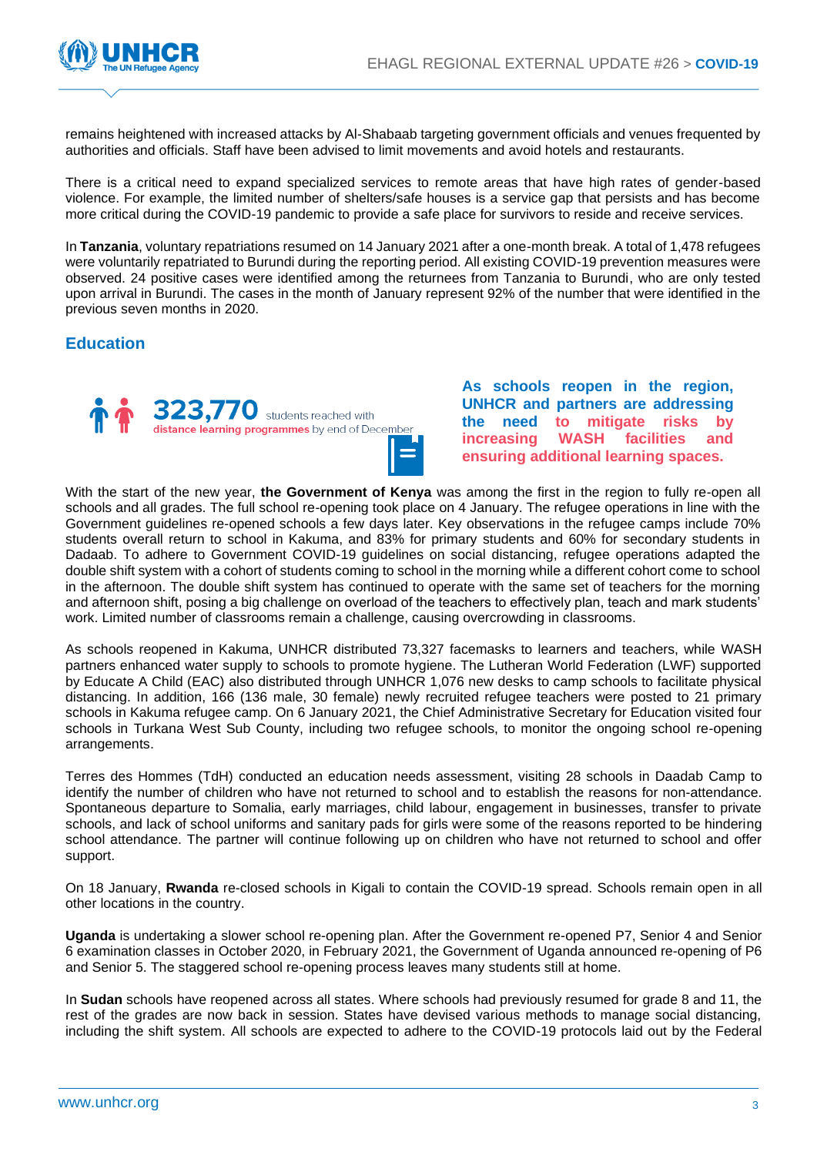

remains heightened with increased attacks by Al-Shabaab targeting government officials and venues frequented by authorities and officials. Staff have been advised to limit movements and avoid hotels and restaurants.

There is a critical need to expand specialized services to remote areas that have high rates of gender-based violence. For example, the limited number of shelters/safe houses is a service gap that persists and has become more critical during the COVID-19 pandemic to provide a safe place for survivors to reside and receive services.

In **Tanzania**, voluntary repatriations resumed on 14 January 2021 after a one-month break. A total of 1,478 refugees were voluntarily repatriated to Burundi during the reporting period. All existing COVID-19 prevention measures were observed. 24 positive cases were identified among the returnees from Tanzania to Burundi, who are only tested upon arrival in Burundi. The cases in the month of January represent 92% of the number that were identified in the previous seven months in 2020.

### **Education**



**As schools reopen in the region, UNHCR and partners are addressing the need to mitigate risks by increasing WASH facilities and ensuring additional learning spaces.**

With the start of the new year, **the Government of Kenya** was among the first in the region to fully re-open all schools and all grades. The full school re-opening took place on 4 January. The refugee operations in line with the Government guidelines re-opened schools a few days later. Key observations in the refugee camps include 70% students overall return to school in Kakuma, and 83% for primary students and 60% for secondary students in Dadaab. To adhere to Government COVID-19 guidelines on social distancing, refugee operations adapted the double shift system with a cohort of students coming to school in the morning while a different cohort come to school in the afternoon. The double shift system has continued to operate with the same set of teachers for the morning and afternoon shift, posing a big challenge on overload of the teachers to effectively plan, teach and mark students' work. Limited number of classrooms remain a challenge, causing overcrowding in classrooms.

As schools reopened in Kakuma, UNHCR distributed 73,327 facemasks to learners and teachers, while WASH partners enhanced water supply to schools to promote hygiene. The Lutheran World Federation (LWF) supported by Educate A Child (EAC) also distributed through UNHCR 1,076 new desks to camp schools to facilitate physical distancing. In addition, 166 (136 male, 30 female) newly recruited refugee teachers were posted to 21 primary schools in Kakuma refugee camp. On 6 January 2021, the Chief Administrative Secretary for Education visited four schools in Turkana West Sub County, including two refugee schools, to monitor the ongoing school re-opening arrangements.

Terres des Hommes (TdH) conducted an education needs assessment, visiting 28 schools in Daadab Camp to identify the number of children who have not returned to school and to establish the reasons for non-attendance. Spontaneous departure to Somalia, early marriages, child labour, engagement in businesses, transfer to private schools, and lack of school uniforms and sanitary pads for girls were some of the reasons reported to be hindering school attendance. The partner will continue following up on children who have not returned to school and offer support.

On 18 January, **Rwanda** re-closed schools in Kigali to contain the COVID-19 spread. Schools remain open in all other locations in the country.

**Uganda** is undertaking a slower school re-opening plan. After the Government re-opened P7, Senior 4 and Senior 6 examination classes in October 2020, in February 2021, the Government of Uganda announced re-opening of P6 and Senior 5. The staggered school re-opening process leaves many students still at home.

In **Sudan** schools have reopened across all states. Where schools had previously resumed for grade 8 and 11, the rest of the grades are now back in session. States have devised various methods to manage social distancing, including the shift system. All schools are expected to adhere to the COVID-19 protocols laid out by the Federal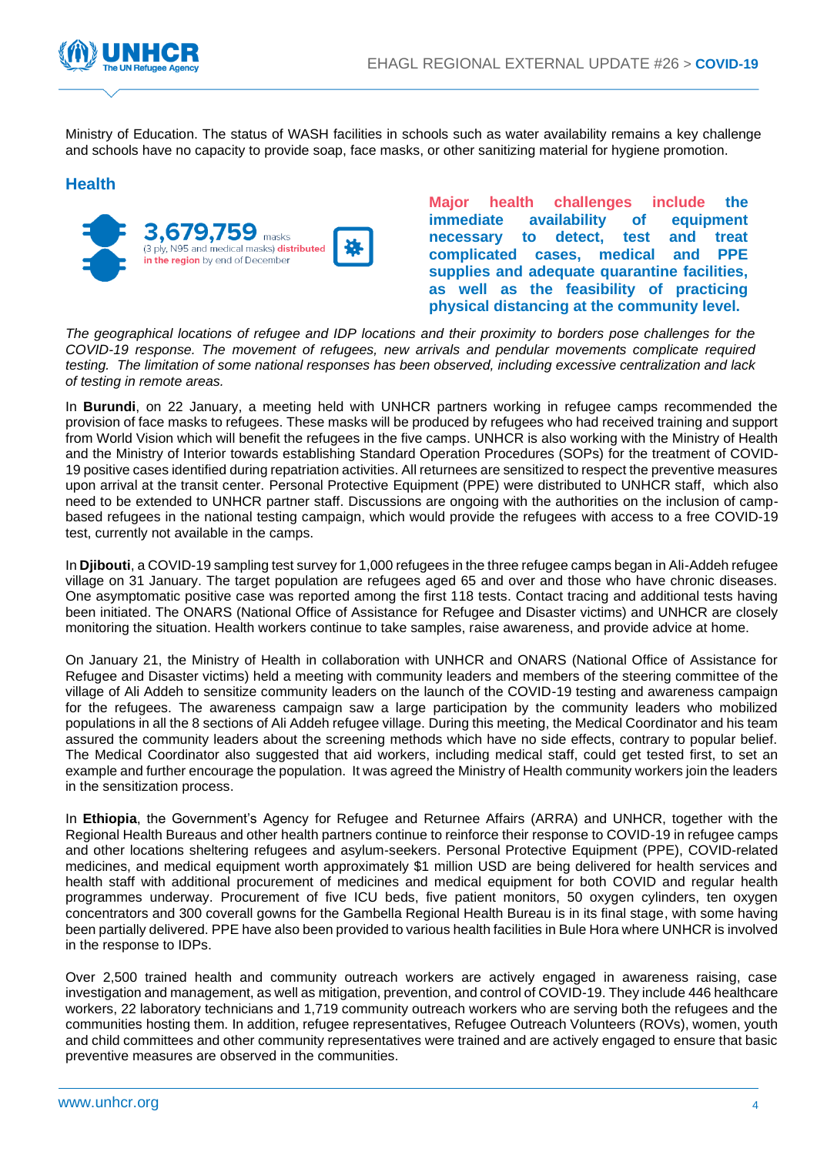

Ministry of Education. The status of WASH facilities in schools such as water availability remains a key challenge and schools have no capacity to provide soap, face masks, or other sanitizing material for hygiene promotion.

#### **Health**



**Major health challenges include the immediate availability of equipment necessary to detect, test and treat complicated cases, medical and PPE supplies and adequate quarantine facilities, as well as the feasibility of practicing physical distancing at the community level.** 

*The geographical locations of refugee and IDP locations and their proximity to borders pose challenges for the COVID-19 response. The movement of refugees, new arrivals and pendular movements complicate required testing. The limitation of some national responses has been observed, including excessive centralization and lack of testing in remote areas.* 

In **Burundi**, on 22 January, a meeting held with UNHCR partners working in refugee camps recommended the provision of face masks to refugees. These masks will be produced by refugees who had received training and support from World Vision which will benefit the refugees in the five camps. UNHCR is also working with the Ministry of Health and the Ministry of Interior towards establishing Standard Operation Procedures (SOPs) for the treatment of COVID-19 positive cases identified during repatriation activities. All returnees are sensitized to respect the preventive measures upon arrival at the transit center. Personal Protective Equipment (PPE) were distributed to UNHCR staff, which also need to be extended to UNHCR partner staff. Discussions are ongoing with the authorities on the inclusion of campbased refugees in the national testing campaign, which would provide the refugees with access to a free COVID-19 test, currently not available in the camps.

In **Djibouti**, a COVID-19 sampling test survey for 1,000 refugees in the three refugee camps began in Ali-Addeh refugee village on 31 January. The target population are refugees aged 65 and over and those who have chronic diseases. One asymptomatic positive case was reported among the first 118 tests. Contact tracing and additional tests having been initiated. The ONARS (National Office of Assistance for Refugee and Disaster victims) and UNHCR are closely monitoring the situation. Health workers continue to take samples, raise awareness, and provide advice at home.

On January 21, the Ministry of Health in collaboration with UNHCR and ONARS (National Office of Assistance for Refugee and Disaster victims) held a meeting with community leaders and members of the steering committee of the village of Ali Addeh to sensitize community leaders on the launch of the COVID-19 testing and awareness campaign for the refugees. The awareness campaign saw a large participation by the community leaders who mobilized populations in all the 8 sections of Ali Addeh refugee village. During this meeting, the Medical Coordinator and his team assured the community leaders about the screening methods which have no side effects, contrary to popular belief. The Medical Coordinator also suggested that aid workers, including medical staff, could get tested first, to set an example and further encourage the population. It was agreed the Ministry of Health community workers join the leaders in the sensitization process.

In **Ethiopia**, the Government's Agency for Refugee and Returnee Affairs (ARRA) and UNHCR, together with the Regional Health Bureaus and other health partners continue to reinforce their response to COVID-19 in refugee camps and other locations sheltering refugees and asylum-seekers. Personal Protective Equipment (PPE), COVID-related medicines, and medical equipment worth approximately \$1 million USD are being delivered for health services and health staff with additional procurement of medicines and medical equipment for both COVID and regular health programmes underway. Procurement of five ICU beds, five patient monitors, 50 oxygen cylinders, ten oxygen concentrators and 300 coverall gowns for the Gambella Regional Health Bureau is in its final stage, with some having been partially delivered. PPE have also been provided to various health facilities in Bule Hora where UNHCR is involved in the response to IDPs.

Over 2,500 trained health and community outreach workers are actively engaged in awareness raising, case investigation and management, as well as mitigation, prevention, and control of COVID-19. They include 446 healthcare workers, 22 laboratory technicians and 1,719 community outreach workers who are serving both the refugees and the communities hosting them. In addition, refugee representatives, Refugee Outreach Volunteers (ROVs), women, youth and child committees and other community representatives were trained and are actively engaged to ensure that basic preventive measures are observed in the communities.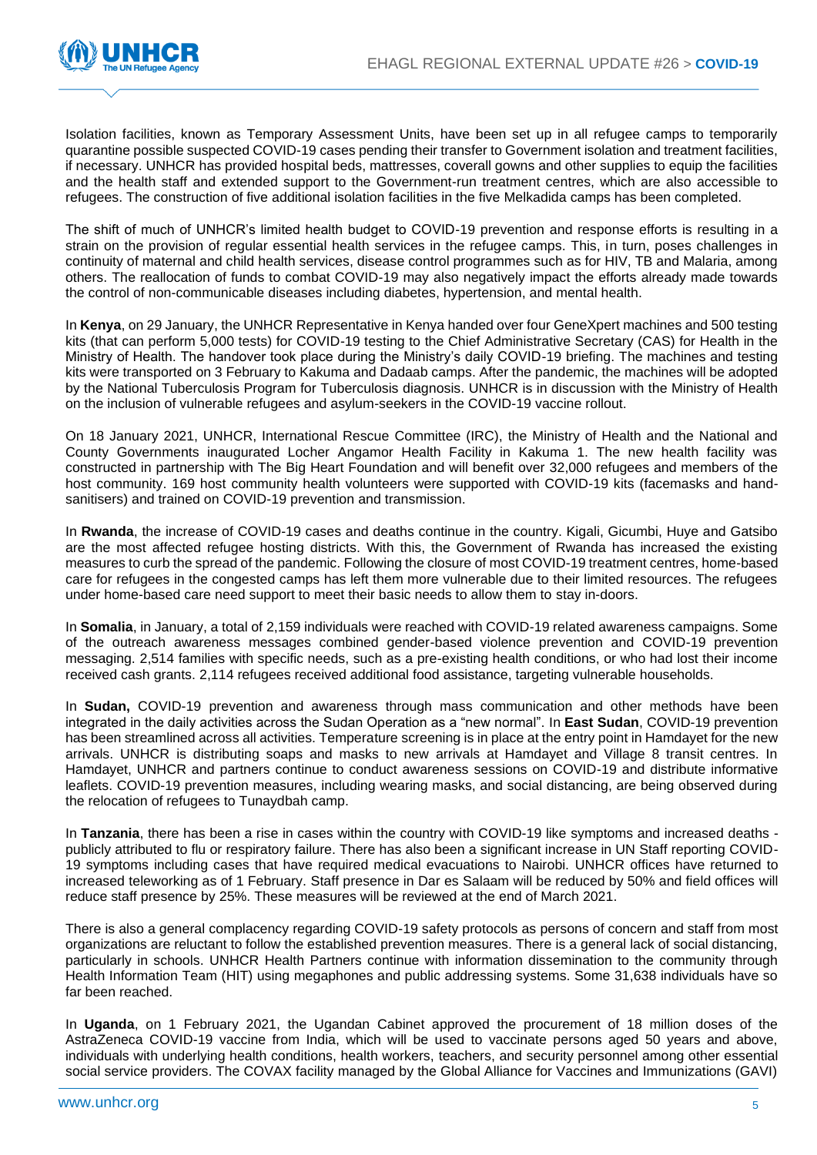

Isolation facilities, known as Temporary Assessment Units, have been set up in all refugee camps to temporarily quarantine possible suspected COVID-19 cases pending their transfer to Government isolation and treatment facilities, if necessary. UNHCR has provided hospital beds, mattresses, coverall gowns and other supplies to equip the facilities and the health staff and extended support to the Government-run treatment centres, which are also accessible to refugees. The construction of five additional isolation facilities in the five Melkadida camps has been completed.

The shift of much of UNHCR's limited health budget to COVID-19 prevention and response efforts is resulting in a strain on the provision of regular essential health services in the refugee camps. This, in turn, poses challenges in continuity of maternal and child health services, disease control programmes such as for HIV, TB and Malaria, among others. The reallocation of funds to combat COVID-19 may also negatively impact the efforts already made towards the control of non-communicable diseases including diabetes, hypertension, and mental health.

In **Kenya**, on 29 January, the UNHCR Representative in Kenya handed over four GeneXpert machines and 500 testing kits (that can perform 5,000 tests) for COVID-19 testing to the Chief Administrative Secretary (CAS) for Health in the Ministry of Health. The handover took place during the Ministry's daily COVID-19 briefing. The machines and testing kits were transported on 3 February to Kakuma and Dadaab camps. After the pandemic, the machines will be adopted by the National Tuberculosis Program for Tuberculosis diagnosis. UNHCR is in discussion with the Ministry of Health on the inclusion of vulnerable refugees and asylum-seekers in the COVID-19 vaccine rollout.

On 18 January 2021, UNHCR, International Rescue Committee (IRC), the Ministry of Health and the National and County Governments inaugurated Locher Angamor Health Facility in Kakuma 1. The new health facility was constructed in partnership with The Big Heart Foundation and will benefit over 32,000 refugees and members of the host community. 169 host community health volunteers were supported with COVID-19 kits (facemasks and handsanitisers) and trained on COVID-19 prevention and transmission.

In **Rwanda**, the increase of COVID-19 cases and deaths continue in the country. Kigali, Gicumbi, Huye and Gatsibo are the most affected refugee hosting districts. With this, the Government of Rwanda has increased the existing measures to curb the spread of the pandemic. Following the closure of most COVID-19 treatment centres, home-based care for refugees in the congested camps has left them more vulnerable due to their limited resources. The refugees under home-based care need support to meet their basic needs to allow them to stay in-doors.

In **Somalia**, in January, a total of 2,159 individuals were reached with COVID-19 related awareness campaigns. Some of the outreach awareness messages combined gender-based violence prevention and COVID-19 prevention messaging. 2,514 families with specific needs, such as a pre-existing health conditions, or who had lost their income received cash grants. 2,114 refugees received additional food assistance, targeting vulnerable households.

In **Sudan,** COVID-19 prevention and awareness through mass communication and other methods have been integrated in the daily activities across the Sudan Operation as a "new normal". In **East Sudan**, COVID-19 prevention has been streamlined across all activities. Temperature screening is in place at the entry point in Hamdayet for the new arrivals. UNHCR is distributing soaps and masks to new arrivals at Hamdayet and Village 8 transit centres. In Hamdayet, UNHCR and partners continue to conduct awareness sessions on COVID-19 and distribute informative leaflets. COVID-19 prevention measures, including wearing masks, and social distancing, are being observed during the relocation of refugees to Tunaydbah camp.

In **Tanzania**, there has been a rise in cases within the country with COVID-19 like symptoms and increased deaths publicly attributed to flu or respiratory failure. There has also been a significant increase in UN Staff reporting COVID-19 symptoms including cases that have required medical evacuations to Nairobi. UNHCR offices have returned to increased teleworking as of 1 February. Staff presence in Dar es Salaam will be reduced by 50% and field offices will reduce staff presence by 25%. These measures will be reviewed at the end of March 2021.

There is also a general complacency regarding COVID-19 safety protocols as persons of concern and staff from most organizations are reluctant to follow the established prevention measures. There is a general lack of social distancing, particularly in schools. UNHCR Health Partners continue with information dissemination to the community through Health Information Team (HIT) using megaphones and public addressing systems. Some 31,638 individuals have so far been reached.

In **Uganda**, on 1 February 2021, the Ugandan Cabinet approved the procurement of 18 million doses of the AstraZeneca COVID-19 vaccine from India, which will be used to vaccinate persons aged 50 years and above, individuals with underlying health conditions, health workers, teachers, and security personnel among other essential social service providers. The COVAX facility managed by the Global Alliance for Vaccines and Immunizations (GAVI)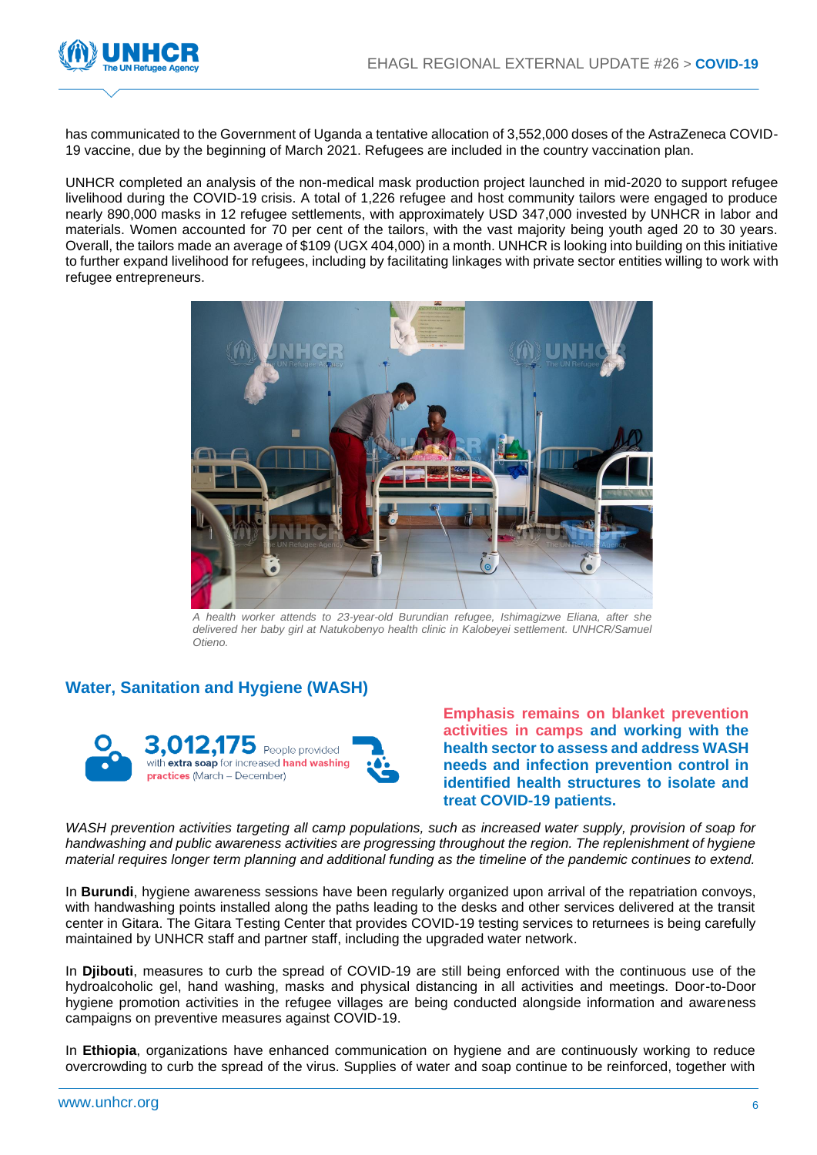

has communicated to the Government of Uganda a tentative allocation of 3,552,000 doses of the AstraZeneca COVID-19 vaccine, due by the beginning of March 2021. Refugees are included in the country vaccination plan.

UNHCR completed an analysis of the non-medical mask production project launched in mid-2020 to support refugee livelihood during the COVID-19 crisis. A total of 1,226 refugee and host community tailors were engaged to produce nearly 890,000 masks in 12 refugee settlements, with approximately USD 347,000 invested by UNHCR in labor and materials. Women accounted for 70 per cent of the tailors, with the vast majority being youth aged 20 to 30 years. Overall, the tailors made an average of \$109 (UGX 404,000) in a month. UNHCR is looking into building on this initiative to further expand livelihood for refugees, including by facilitating linkages with private sector entities willing to work with refugee entrepreneurs.



*A health worker attends to 23-year-old Burundian refugee, Ishimagizwe Eliana, after she*  delivered her baby girl at Natukobenyo health clinic in Kalobeyei settlement. UNHCR/Samuel *Otieno.*

## **Water, Sanitation and Hygiene (WASH)**



**Emphasis remains on blanket prevention activities in camps and working with the health sector to assess and address WASH needs and infection prevention control in identified health structures to isolate and treat COVID-19 patients.** 

*WASH prevention activities targeting all camp populations, such as increased water supply, provision of soap for handwashing and public awareness activities are progressing throughout the region. The replenishment of hygiene material requires longer term planning and additional funding as the timeline of the pandemic continues to extend.*

In **Burundi**, hygiene awareness sessions have been regularly organized upon arrival of the repatriation convoys, with handwashing points installed along the paths leading to the desks and other services delivered at the transit center in Gitara. The Gitara Testing Center that provides COVID-19 testing services to returnees is being carefully maintained by UNHCR staff and partner staff, including the upgraded water network.

In **Djibouti**, measures to curb the spread of COVID-19 are still being enforced with the continuous use of the hydroalcoholic gel, hand washing, masks and physical distancing in all activities and meetings. Door-to-Door hygiene promotion activities in the refugee villages are being conducted alongside information and awareness campaigns on preventive measures against COVID-19.

In **Ethiopia**, organizations have enhanced communication on hygiene and are continuously working to reduce overcrowding to curb the spread of the virus. Supplies of water and soap continue to be reinforced, together with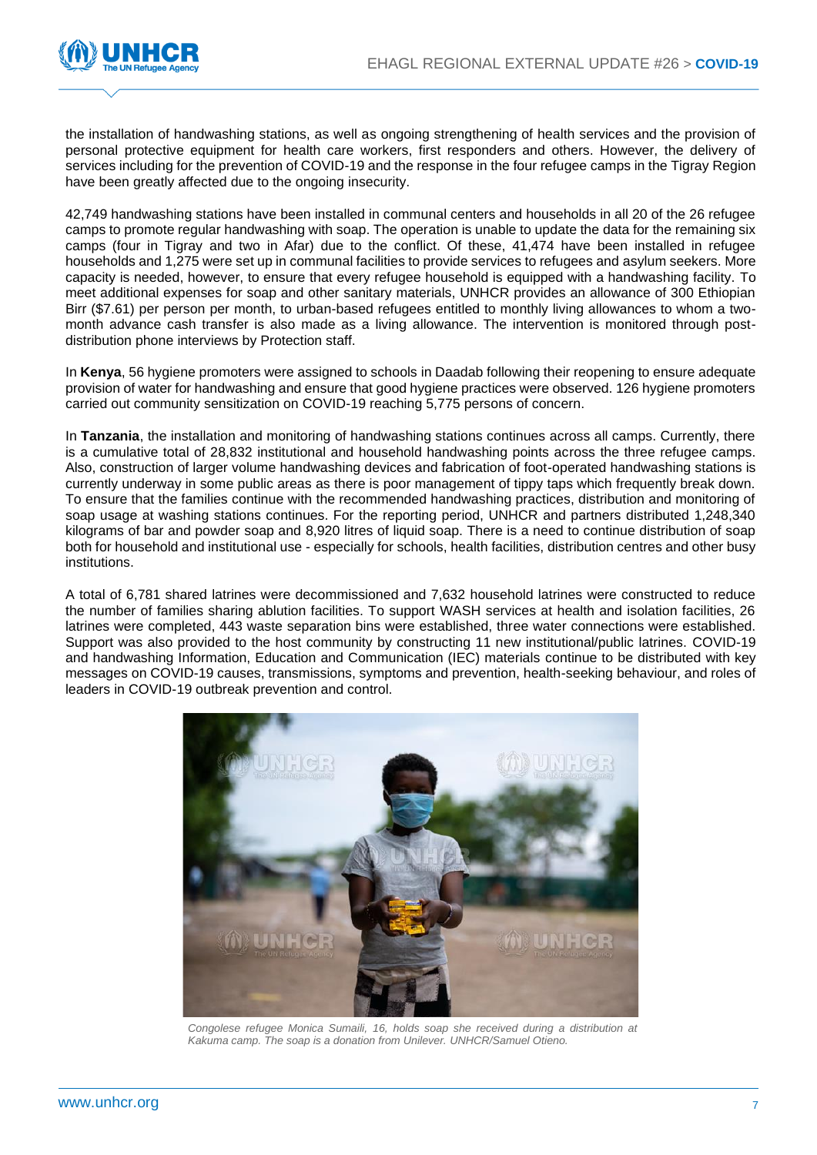

the installation of handwashing stations, as well as ongoing strengthening of health services and the provision of personal protective equipment for health care workers, first responders and others. However, the delivery of services including for the prevention of COVID-19 and the response in the four refugee camps in the Tigray Region have been greatly affected due to the ongoing insecurity.

42,749 handwashing stations have been installed in communal centers and households in all 20 of the 26 refugee camps to promote regular handwashing with soap. The operation is unable to update the data for the remaining six camps (four in Tigray and two in Afar) due to the conflict. Of these, 41,474 have been installed in refugee households and 1,275 were set up in communal facilities to provide services to refugees and asylum seekers. More capacity is needed, however, to ensure that every refugee household is equipped with a handwashing facility. To meet additional expenses for soap and other sanitary materials, UNHCR provides an allowance of 300 Ethiopian Birr (\$7.61) per person per month, to urban-based refugees entitled to monthly living allowances to whom a twomonth advance cash transfer is also made as a living allowance. The intervention is monitored through postdistribution phone interviews by Protection staff.

In **Kenya**, 56 hygiene promoters were assigned to schools in Daadab following their reopening to ensure adequate provision of water for handwashing and ensure that good hygiene practices were observed. 126 hygiene promoters carried out community sensitization on COVID-19 reaching 5,775 persons of concern.

In **Tanzania**, the installation and monitoring of handwashing stations continues across all camps. Currently, there is a cumulative total of 28,832 institutional and household handwashing points across the three refugee camps. Also, construction of larger volume handwashing devices and fabrication of foot-operated handwashing stations is currently underway in some public areas as there is poor management of tippy taps which frequently break down. To ensure that the families continue with the recommended handwashing practices, distribution and monitoring of soap usage at washing stations continues. For the reporting period, UNHCR and partners distributed 1,248,340 kilograms of bar and powder soap and 8,920 litres of liquid soap. There is a need to continue distribution of soap both for household and institutional use - especially for schools, health facilities, distribution centres and other busy institutions.

A total of 6,781 shared latrines were decommissioned and 7,632 household latrines were constructed to reduce the number of families sharing ablution facilities. To support WASH services at health and isolation facilities, 26 latrines were completed, 443 waste separation bins were established, three water connections were established. Support was also provided to the host community by constructing 11 new institutional/public latrines. COVID-19 and handwashing Information, Education and Communication (IEC) materials continue to be distributed with key messages on COVID-19 causes, transmissions, symptoms and prevention, health-seeking behaviour, and roles of leaders in COVID-19 outbreak prevention and control.



Congolese refugee Monica Sumaili, 16, holds soap she received during a distribution at *Kakuma camp. The soap is a donation from Unilever. UNHCR/Samuel Otieno.*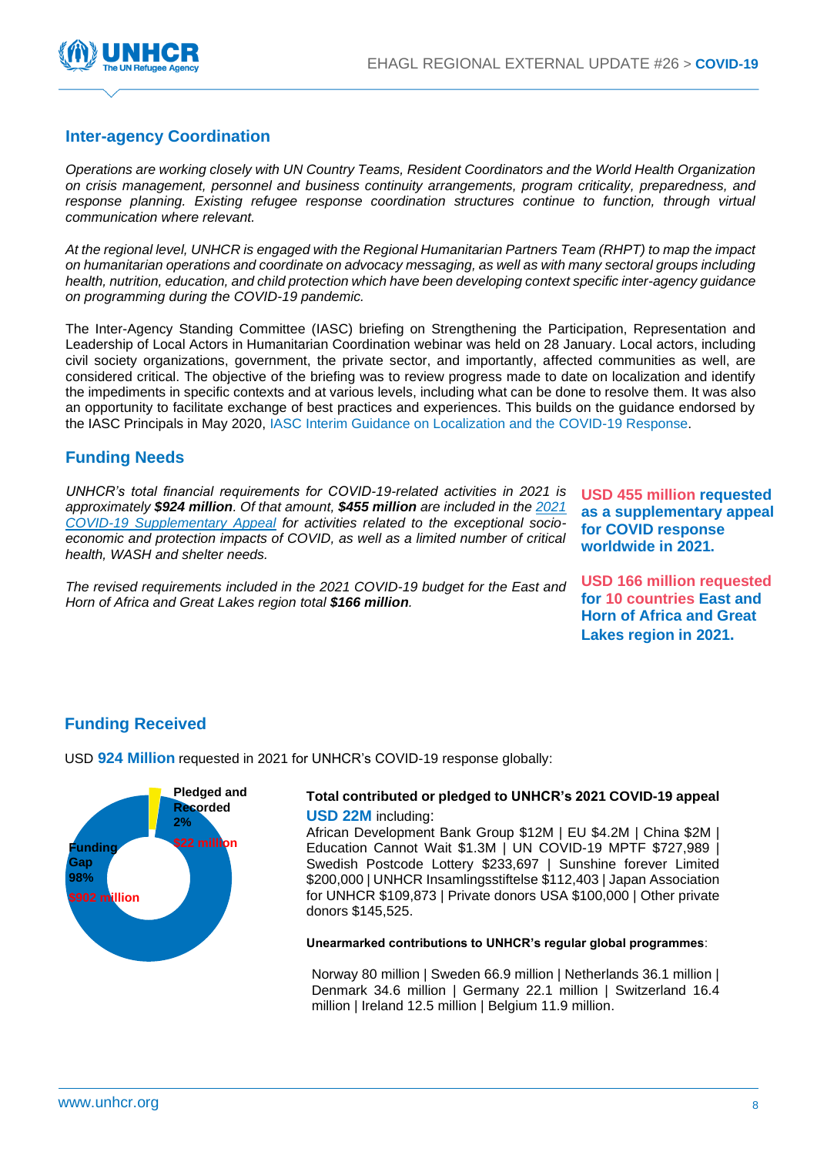

## **Inter-agency Coordination**

*Operations are working closely with UN Country Teams, Resident Coordinators and the World Health Organization on crisis management, personnel and business continuity arrangements, program criticality, preparedness, and response planning. Existing refugee response coordination structures continue to function, through virtual communication where relevant.*

*At the regional level, UNHCR is engaged with the Regional Humanitarian Partners Team (RHPT) to map the impact on humanitarian operations and coordinate on advocacy messaging, as well as with many sectoral groups including health, nutrition, education, and child protection which have been developing context specific inter-agency guidance on programming during the COVID-19 pandemic.*

The Inter-Agency Standing Committee (IASC) briefing on Strengthening the Participation, Representation and Leadership of Local Actors in Humanitarian Coordination webinar was held on 28 January. Local actors, including civil society organizations, government, the private sector, and importantly, affected communities as well, are considered critical. The objective of the briefing was to review progress made to date on localization and identify the impediments in specific contexts and at various levels, including what can be done to resolve them. It was also an opportunity to facilitate exchange of best practices and experiences. This builds on the guidance endorsed by the IASC Principals in May 2020, [IASC Interim Guidance on Localization and the COVID-19 Response.](https://interagencystandingcommittee.org/inter-agency-standing-committee/iasc-interim-guidance-localisation-and-covid-19-response)

## **Funding Needs**

*UNHCR's total financial requirements for COVID-19-related activities in 2021 is approximately \$924 million. Of that amount, \$455 million are included in the [2021](https://reporting.unhcr.org/sites/default/files/UNHCR%20-%20COVID19%20Supplementary%20Appeal%20Overview%20-%2018%20December%202020_0.pdf)  COVID-19 [Supplementary Appeal](https://reporting.unhcr.org/sites/default/files/UNHCR%20-%20COVID19%20Supplementary%20Appeal%20Overview%20-%2018%20December%202020_0.pdf) for activities related to the exceptional socioeconomic and protection impacts of COVID, as well as a limited number of critical health, WASH and shelter needs.*

**USD 455 million requested as a supplementary appeal for COVID response worldwide in 2021.**

*The revised requirements included in the 2021 COVID-19 budget for the East and Horn of Africa and Great Lakes region total \$166 million.*

**USD 166 million requested for 10 countries East and Horn of Africa and Great Lakes region in 2021.**

## **Funding Received**

USD **924 Million** requested in 2021 for UNHCR's COVID-19 response globally:



#### **Total contributed or pledged to UNHCR's 2021 COVID-19 appeal USD 22M** including:

African Development Bank Group \$12M | EU \$4.2M | China \$2M | Education Cannot Wait \$1.3M | UN COVID-19 MPTF \$727,989 | Swedish Postcode Lottery \$233,697 | Sunshine forever Limited \$200,000 | UNHCR Insamlingsstiftelse \$112,403 | Japan Association for UNHCR \$109,873 | Private donors USA \$100,000 | Other private donors \$145,525.

#### **Unearmarked contributions to UNHCR's regular global programmes**:

Norway 80 million | Sweden 66.9 million | Netherlands 36.1 million | Denmark 34.6 million | Germany 22.1 million | Switzerland 16.4 million | Ireland 12.5 million | Belgium 11.9 million.